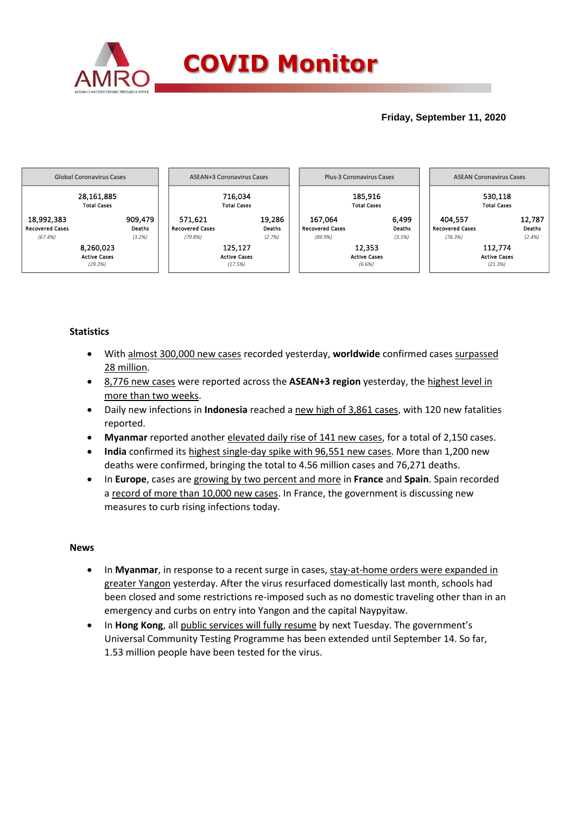

## **Friday, September 11, 2020**



## **Statistics**

- With almost 300,000 new cases recorded yesterday, **worldwide** confirmed cases surpassed 28 million.
- 8,776 new cases were reported across the **ASEAN+3 region** yesterday, the highest level in more than two weeks.
- Daily new infections in **Indonesia** reached a new high of 3,861 cases, with 120 new fatalities reported.
- **Myanmar** reported another elevated daily rise of 141 new cases, for a total of 2,150 cases.
- **India** confirmed its highest single-day spike with 96,551 new cases. More than 1,200 new deaths were confirmed, bringing the total to 4.56 million cases and 76,271 deaths.
- In **Europe**, cases are growing by two percent and more in **France** and **Spain**. Spain recorded a record of more than 10,000 new cases. In France, the government is discussing new measures to curb rising infections today.

## **News**

- In Myanmar, in response to a recent surge in cases, stay-at-home orders were expanded in greater Yangon yesterday. After the virus resurfaced domestically last month, schools had been closed and some restrictions re-imposed such as no domestic traveling other than in an emergency and curbs on entry into Yangon and the capital Naypyitaw.
- In **Hong Kong**, all public services will fully resume by next Tuesday. The government's Universal Community Testing Programme has been extended until September 14. So far, 1.53 million people have been tested for the virus.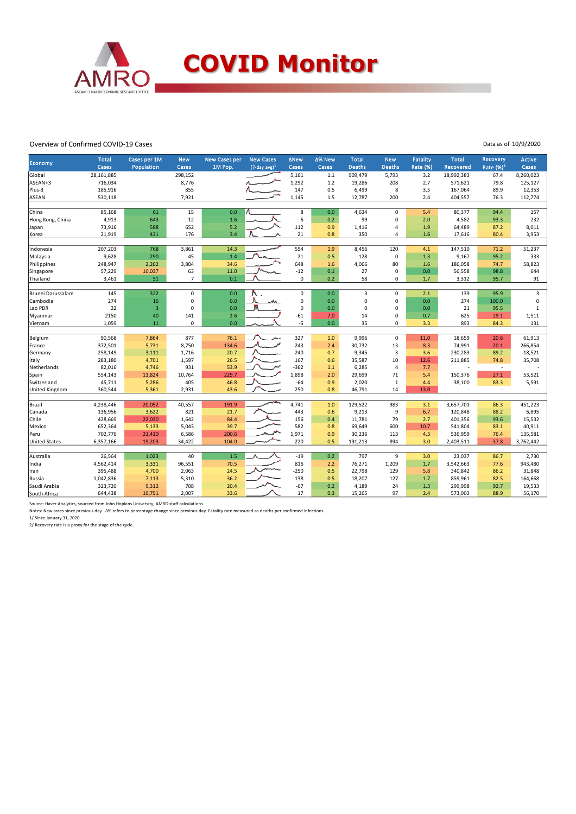

## Overview of Confirmed COVID-19 Cases

| Economy               | <b>Total</b> | Cases per 1M            | <b>New</b>     | <b>New Cases per</b> | <b>New Cases</b>    | <b>ANew</b> | ∆% New | <b>Total</b>   | <b>New</b>     | <b>Fatality</b> | <b>Total</b> | Recovery      | <b>Active</b> |
|-----------------------|--------------|-------------------------|----------------|----------------------|---------------------|-------------|--------|----------------|----------------|-----------------|--------------|---------------|---------------|
|                       | Cases        | Population              | Cases          | 1M Pop.              | $(7$ -day avg $)^1$ | Cases       | Cases  | <b>Deaths</b>  | <b>Deaths</b>  | <b>Rate (%)</b> | Recovered    | Rate $(\%)^2$ | Cases         |
| Global                | 28,161,885   |                         | 298,152        |                      |                     | 5,161       | $1.1$  | 909,479        | 5,793          | 3.2             | 18,992,383   | 67.4          | 8,260,023     |
| ASEAN+3               | 716,034      |                         | 8,776          |                      |                     | 1,292       | 1.2    | 19,286         | 208            | 2.7             | 571,621      | 79.8          | 125,127       |
| Plus-3                | 185,916      |                         | 855            |                      |                     | 147         | 0.5    | 6,499          | 8              | 3.5             | 167,064      | 89.9          | 12,353        |
| <b>ASEAN</b>          | 530,118      |                         | 7,921          |                      |                     | 1,145       | 1.5    | 12,787         | 200            | 2.4             | 404,557      | 76.3          | 112,774       |
| China                 | 85,168       | 61                      | 15             | 0.0                  |                     | 8           | 0.0    | 4,634          | $\mathbf 0$    | 5.4             | 80,377       | 94.4          | 157           |
| Hong Kong, China      | 4,913        | 643                     | 12             | 1.6                  |                     | 6           | 0.2    | 99             | $\mathbf 0$    | 2.0             | 4,582        | 93.3          | 232           |
| Japan                 | 73,916       | 588                     | 652            | 5.2                  |                     | 112         | 0.9    | 1,416          | $\overline{4}$ | 1.9             | 64,489       | 87.2          | 8,011         |
| Korea                 | 21,919       | 421                     | 176            | 3.4                  |                     | 21          | 0.8    | 350            | $\overline{4}$ | 1.6             | 17,616       | 80.4          | 3,953         |
|                       |              |                         |                |                      |                     |             |        |                |                |                 |              |               |               |
| Indonesia             | 207,203      | 768                     | 3,861          | 14.3                 |                     | 554         | 1.9    | 8,456          | 120            | 4.1             | 147,510      | 71.2          | 51,237        |
| Malaysia              | 9,628        | 290                     | 45             | 1.4                  |                     | 21          | 0.5    | 128            | $\mathbf 0$    | 1.3             | 9,167        | 95.2          | 333           |
| Philippines           | 248,947      | 2,262                   | 3,804          | 34.6                 |                     | 648         | 1.6    | 4,066          | 80             | 1.6             | 186,058      | 74.7          | 58,823        |
| Singapore             | 57,229       | 10,037                  | 63             | 11.0                 |                     | $-12$       | 0.1    | 27             | $\mathbf 0$    | 0.0             | 56,558       | 98.8          | 644           |
| Thailand              | 3,461        | 51                      | $\overline{7}$ | 0.1                  |                     | $\mathbf 0$ | 0.2    | 58             | $\mathbf 0$    | 1.7             | 3,312        | 95.7          | 91            |
|                       |              |                         |                |                      |                     |             |        |                |                |                 |              |               |               |
| Brunei Darussalam     | 145          | 322                     | $\mathbf 0$    | 0.0                  |                     | $\mathbf 0$ | 0.0    | $\overline{3}$ | $\mathbf 0$    | 2.1             | 139          | 95.9          | 3             |
| Cambodia              | 274          | 16                      | 0              | 0.0                  | w.                  | 0           | 0.0    | $\mathbf 0$    | $\mathbf 0$    | 0.0             | 274          | 100.0         | 0             |
| Lao PDR               | 22           | $\overline{\mathbf{3}}$ | $\mathbf 0$    | 0.0                  |                     | 0           | 0.0    | 0              | $\mathbf 0$    | 0.0             | 21           | 95.5          | $\mathbf{1}$  |
| Myanmar               | 2150         | 40                      | 141            | 2.6                  |                     | $-61$       | 7.0    | 14             | $\mathbf 0$    | 0.7             | 625          | 29.1          | 1,511         |
| Vietnam               | 1,059        | 11                      | 0              | 0.0                  |                     | -5          | 0.0    | 35             | $\mathsf 0$    | 3.3             | 893          | 84.3          | 131           |
|                       |              |                         |                |                      |                     |             |        |                |                |                 |              |               |               |
| Belgium               | 90,568       | 7,864                   | 877            | 76.1                 |                     | 327         | 1.0    | 9,996          | $\mathsf 0$    | 11.0            | 18,659       | 20.6          | 61,913        |
| France                | 372,501      | 5,731                   | 8,750          | 134.6                |                     | 243         | 2.4    | 30,732         | 13             | 8.3             | 74,991       | 20.1          | 266,854       |
| Germany               | 258,149      | 3,111                   | 1,716          | 20.7                 |                     | 240         | 0.7    | 9,345          | 3              | 3.6             | 230,283      | 89.2          | 18,521        |
| Italy                 | 283,180      | 4,701                   | 1,597          | 26.5                 |                     | 167         | 0.6    | 35,587         | 10             | 12.6            | 211,885      | 74.8          | 35,708        |
| Netherlands           | 82,016       | 4,746                   | 931            | 53.9                 |                     | $-362$      | 1.1    | 6,285          | $\overline{4}$ | 7.7             |              | $\sim$        |               |
| Spain                 | 554,143      | 11,824                  | 10,764         | 229.7                |                     | 1,898       | 2.0    | 29,699         | 71             | 5.4             | 150,376      | 27.1          | 53,521        |
| Switzerland           | 45,711       | 5,286                   | 405            | 46.8                 |                     | $-64$       | 0.9    | 2,020          | 1              | 4.4             | 38,100       | 83.3          | 5,591         |
| <b>United Kingdom</b> | 360,544      | 5,361                   | 2,931          | 43.6                 |                     | 250         | 0.8    | 46,791         | 14             | 13.0            |              |               |               |
| Brazil                | 4,238,446    | 20,052                  | 40,557         | 191.9                |                     | 4,741       | 1.0    | 129,522        | 983            | 3.1             | 3,657,701    | 86.3          | 451,223       |
| Canada                | 136,956      | 3,622                   | 821            | 21.7                 |                     | 443         | 0.6    | 9,213          | 9              | 6.7             | 120,848      | 88.2          | 6,895         |
| Chile                 | 428,669      | 22,030                  | 1,642          | 84.4                 |                     | 156         | 0.4    | 11,781         | 79             | 2.7             | 401,356      | 93.6          | 15,532        |
| Mexico                | 652,364      | 5,133                   | 5,043          | 39.7                 |                     | 582         | 0.8    | 69,649         | 600            | 10.7            | 541,804      | 83.1          | 40,911        |
| Peru                  | 702,776      | 21,410                  | 6,586          | 200.6                |                     | 1,971       | 0.9    | 30,236         | 113            | 4.3             | 536,959      | 76.4          | 135,581       |
| <b>United States</b>  | 6,357,166    | 19,203                  | 34,422         | 104.0                |                     | 220         | 0.5    | 191,213        | 894            | 3.0             | 2,403,511    | 37.8          | 3,762,442     |
|                       |              |                         |                |                      |                     |             |        |                |                |                 |              |               |               |
| Australia             | 26,564       | 1,023                   | 40             | 1.5                  |                     | $-19$       | 0.2    | 797            | 9              | 3.0             | 23,037       | 86.7          | 2,730         |
| India                 | 4,562,414    | 3,331                   | 96,551         | 70.5                 |                     | 816         | 2.2    | 76,271         | 1,209          | 1.7             | 3,542,663    | 77.6          | 943,480       |
| Iran                  | 395,488      | 4,700                   | 2,063          | 24.5                 |                     | $-250$      | 0.5    | 22,798         | 129            | 5.8             | 340,842      | 86.2          | 31,848        |
| Russia                | 1,042,836    | 7,113                   | 5,310          | 36.2                 |                     | 138         | 0.5    | 18,207         | 127            | 1.7             | 859,961      | 82.5          | 164,668       |
| Saudi Arabia          | 323,720      | 9,312                   | 708            | 20.4                 |                     | $-67$       | 0.2    | 4,189          | 24             | 1.3             | 299,998      | 92.7          | 19,533        |
| South Africa          | 644,438      | 10.791                  | 2.007          | 33.6                 |                     | 17          | 0.3    | 15,265         | 97             | 2.4             | 573,003      | 88.9          | 56,170        |

Source: Haver Analytics, sourced from John Hopkins University; AMRO staff calculations.<br>Notes: New cases since previous day. A% refers to percentage change since previous day. Fatality rate measured as deaths per confirmed

1/ Since January 31, 2020. 2/ Recovery rate is a proxy for the stage of the cycle.